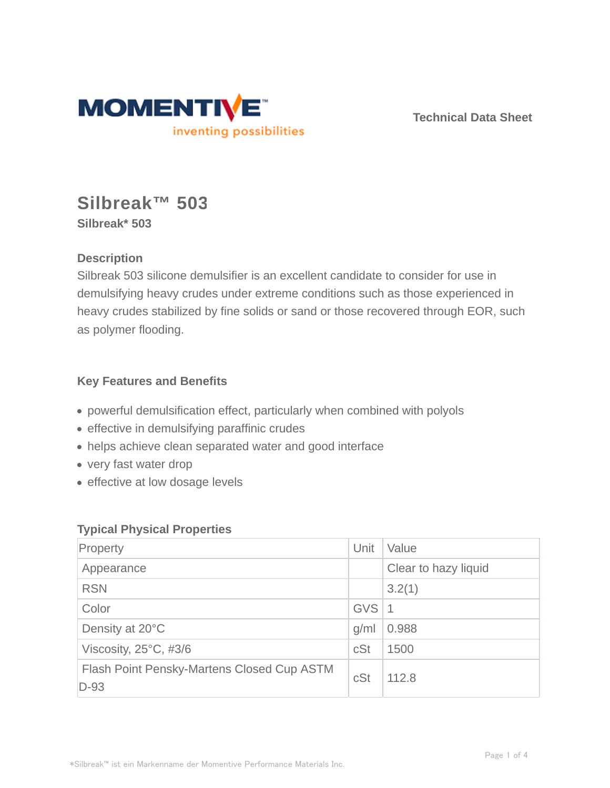

**Technical Data Sheet**

# **Silbreak™ 503 Silbreak\* 503**

## **Description**

Silbreak 503 silicone demulsifier is an excellent candidate to consider for use in demulsifying heavy crudes under extreme conditions such as those experienced in heavy crudes stabilized by fine solids or sand or those recovered through EOR, such as polymer flooding.

## **Key Features and Benefits**

- powerful demulsification effect, particularly when combined with polyols
- effective in demulsifying paraffinic crudes
- helps achieve clean separated water and good interface
- very fast water drop
- effective at low dosage levels

### **Typical Physical Properties**

| Property                                             | Unit       | Value                |  |
|------------------------------------------------------|------------|----------------------|--|
| Appearance                                           |            | Clear to hazy liquid |  |
| <b>RSN</b>                                           |            | 3.2(1)               |  |
| Color                                                | <b>GVS</b> | -1                   |  |
| Density at 20°C                                      | g/ml       | 0.988                |  |
| Viscosity, $25^{\circ}$ C, #3/6                      | cSt        | 1500                 |  |
| Flash Point Pensky-Martens Closed Cup ASTM<br>$D-93$ | cSt        | 112.8                |  |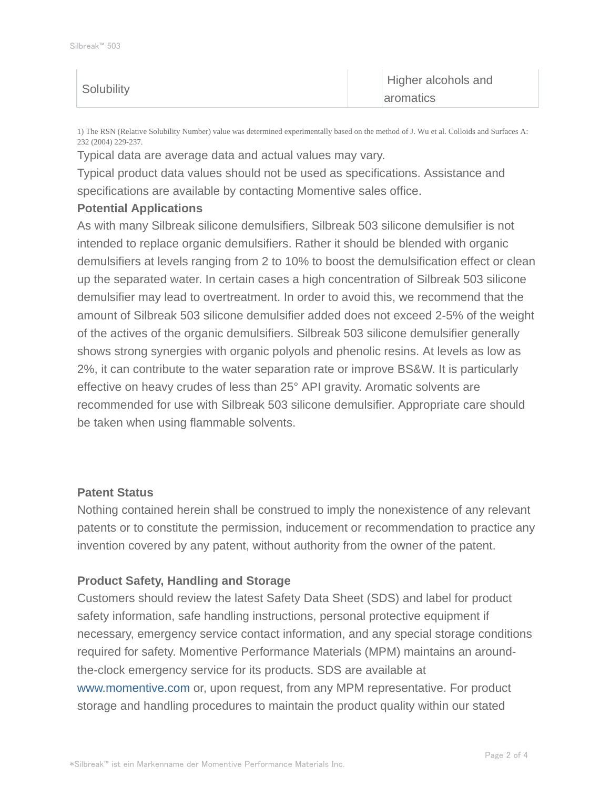|  | Solubility | Higher alcohols and<br>aromatics |
|--|------------|----------------------------------|
|--|------------|----------------------------------|

1) The RSN (Relative Solubility Number) value was determined experimentally based on the method of J. Wu et al. Colloids and Surfaces A: 232 (2004) 229-237.

Typical data are average data and actual values may vary.

Typical product data values should not be used as specifications. Assistance and specifications are available by contacting Momentive sales office.

#### **Potential Applications**

As with many Silbreak silicone demulsifiers, Silbreak 503 silicone demulsifier is not intended to replace organic demulsifiers. Rather it should be blended with organic demulsifiers at levels ranging from 2 to 10% to boost the demulsification effect or clean up the separated water. In certain cases a high concentration of Silbreak 503 silicone demulsifier may lead to overtreatment. In order to avoid this, we recommend that the amount of Silbreak 503 silicone demulsifier added does not exceed 2-5% of the weight of the actives of the organic demulsifiers. Silbreak 503 silicone demulsifier generally shows strong synergies with organic polyols and phenolic resins. At levels as low as 2%, it can contribute to the water separation rate or improve BS&W. It is particularly effective on heavy crudes of less than 25° API gravity. Aromatic solvents are recommended for use with Silbreak 503 silicone demulsifier. Appropriate care should be taken when using flammable solvents.

#### **Patent Status**

Nothing contained herein shall be construed to imply the nonexistence of any relevant patents or to constitute the permission, inducement or recommendation to practice any invention covered by any patent, without authority from the owner of the patent.

#### **Product Safety, Handling and Storage**

Customers should review the latest Safety Data Sheet (SDS) and label for product safety information, safe handling instructions, personal protective equipment if necessary, emergency service contact information, and any special storage conditions required for safety. Momentive Performance Materials (MPM) maintains an aroundthe-clock emergency service for its products. SDS are available at www.momentive.com or, upon request, from any MPM representative. For product storage and handling procedures to maintain the product quality within our stated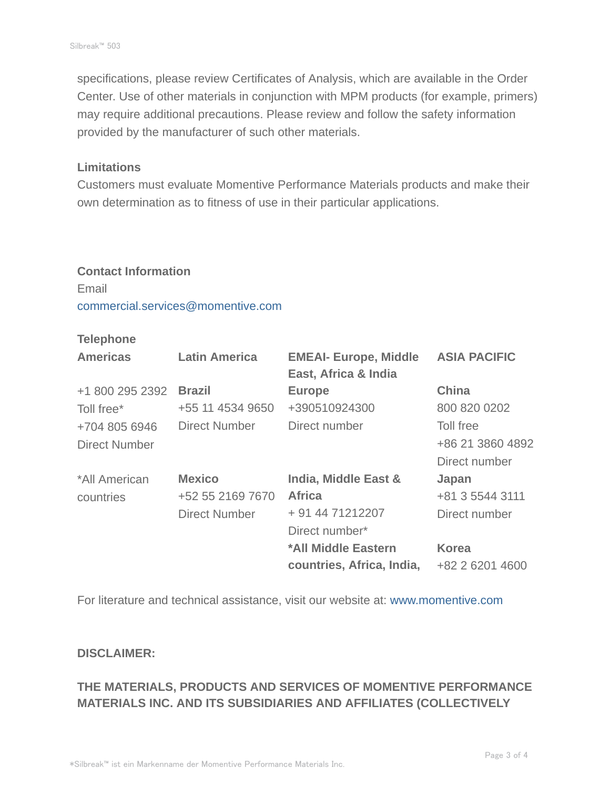specifications, please review Certificates of Analysis, which are available in the Order Center. Use of other materials in conjunction with MPM products (for example, primers) may require additional precautions. Please review and follow the safety information provided by the manufacturer of such other materials.

#### **Limitations**

Customers must evaluate Momentive Performance Materials products and make their own determination as to fitness of use in their particular applications.

## **Contact Information** Email commercial.services@momentive.com

#### **Telephone**

| <b>Americas</b>      | <b>Latin America</b> | <b>EMEAI- Europe, Middle</b><br>East, Africa & India | <b>ASIA PACIFIC</b> |
|----------------------|----------------------|------------------------------------------------------|---------------------|
| +1 800 295 2392      | <b>Brazil</b>        | <b>Europe</b>                                        | China               |
| Toll free*           | +55 11 4534 9650     | +390510924300                                        | 800 820 0202        |
| +704 805 6946        | <b>Direct Number</b> | Direct number                                        | Toll free           |
| <b>Direct Number</b> |                      |                                                      | +86 21 3860 4892    |
|                      |                      |                                                      | Direct number       |
| *All American        | <b>Mexico</b>        | <b>India, Middle East &amp;</b>                      | Japan               |
| countries            | +52 55 2169 7670     | <b>Africa</b>                                        | +81 3 5544 3111     |
|                      | <b>Direct Number</b> | + 91 44 71212207                                     | Direct number       |
|                      |                      | Direct number*                                       |                     |
|                      |                      | *All Middle Eastern                                  | <b>Korea</b>        |
|                      |                      | countries, Africa, India,                            | +82 2 6201 4600     |

For literature and technical assistance, visit our website at: www.momentive.com

#### **DISCLAIMER:**

## **THE MATERIALS, PRODUCTS AND SERVICES OF MOMENTIVE PERFORMANCE MATERIALS INC. AND ITS SUBSIDIARIES AND AFFILIATES (COLLECTIVELY**